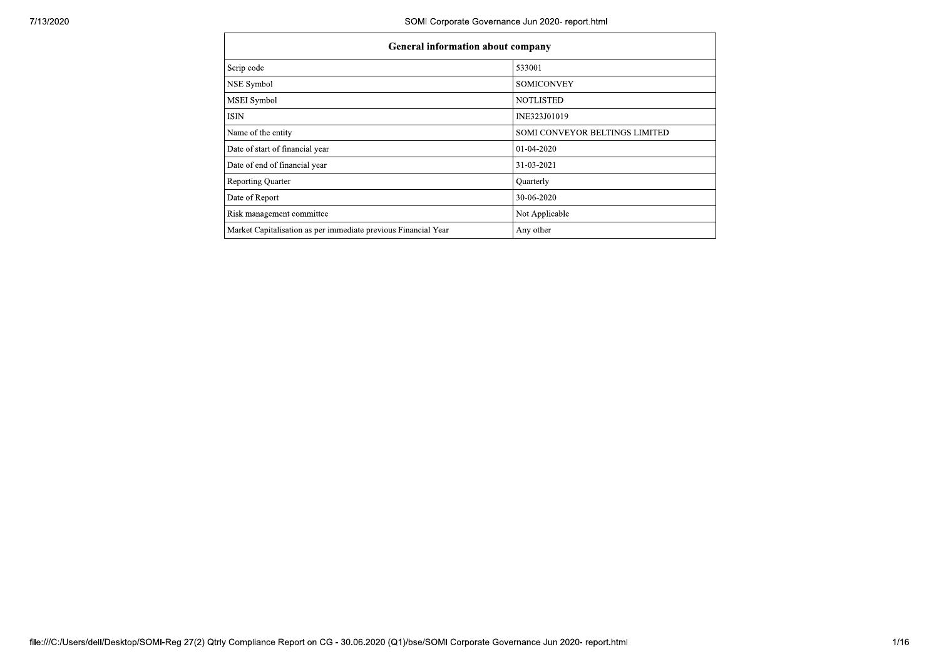| <b>General information about company</b>                       |                                |  |  |  |  |  |  |
|----------------------------------------------------------------|--------------------------------|--|--|--|--|--|--|
| Scrip code                                                     | 533001                         |  |  |  |  |  |  |
| NSE Symbol                                                     | <b>SOMICONVEY</b>              |  |  |  |  |  |  |
| <b>MSEI</b> Symbol                                             | <b>NOTLISTED</b>               |  |  |  |  |  |  |
| ISIN                                                           | INE323J01019                   |  |  |  |  |  |  |
| Name of the entity                                             | SOMI CONVEYOR BELTINGS LIMITED |  |  |  |  |  |  |
| Date of start of financial year                                | 01-04-2020                     |  |  |  |  |  |  |
| Date of end of financial year                                  | 31-03-2021                     |  |  |  |  |  |  |
| <b>Reporting Quarter</b>                                       | Quarterly                      |  |  |  |  |  |  |
| Date of Report                                                 | 30-06-2020                     |  |  |  |  |  |  |
| Risk management committee                                      | Not Applicable                 |  |  |  |  |  |  |
| Market Capitalisation as per immediate previous Financial Year | Any other                      |  |  |  |  |  |  |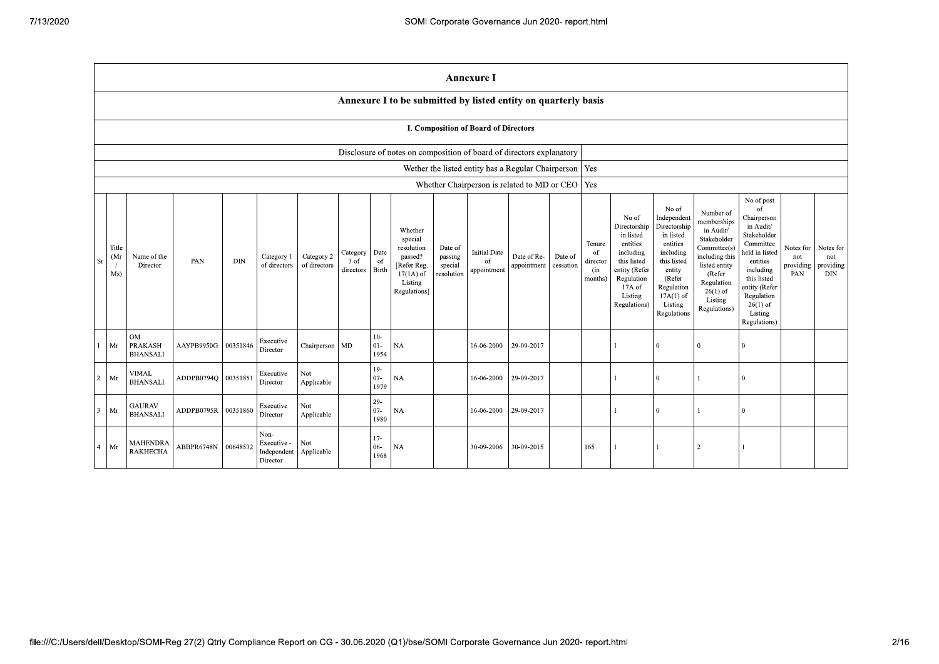|                |                     |                                                |                      |            |                                                |                            |                               |                            |                                                                                                      |                                             | <b>Annexure I</b>                                        |                            |                      |                                                       |                                                                                                                                                |                                                                                                                                                                      |                                                                                                                                                                          |                                                                                                                                                                                                            |                                      |                                      |
|----------------|---------------------|------------------------------------------------|----------------------|------------|------------------------------------------------|----------------------------|-------------------------------|----------------------------|------------------------------------------------------------------------------------------------------|---------------------------------------------|----------------------------------------------------------|----------------------------|----------------------|-------------------------------------------------------|------------------------------------------------------------------------------------------------------------------------------------------------|----------------------------------------------------------------------------------------------------------------------------------------------------------------------|--------------------------------------------------------------------------------------------------------------------------------------------------------------------------|------------------------------------------------------------------------------------------------------------------------------------------------------------------------------------------------------------|--------------------------------------|--------------------------------------|
|                |                     |                                                |                      |            |                                                |                            |                               |                            | Annexure I to be submitted by listed entity on quarterly basis                                       |                                             |                                                          |                            |                      |                                                       |                                                                                                                                                |                                                                                                                                                                      |                                                                                                                                                                          |                                                                                                                                                                                                            |                                      |                                      |
|                |                     |                                                |                      |            |                                                |                            |                               |                            |                                                                                                      |                                             | <b>I. Composition of Board of Directors</b>              |                            |                      |                                                       |                                                                                                                                                |                                                                                                                                                                      |                                                                                                                                                                          |                                                                                                                                                                                                            |                                      |                                      |
|                |                     |                                                |                      |            |                                                |                            |                               |                            | Disclosure of notes on composition of board of directors explanatory                                 |                                             |                                                          |                            |                      |                                                       |                                                                                                                                                |                                                                                                                                                                      |                                                                                                                                                                          |                                                                                                                                                                                                            |                                      |                                      |
|                |                     |                                                |                      |            |                                                |                            |                               |                            |                                                                                                      |                                             | Wether the listed entity has a Regular Chairperson   Yes |                            |                      |                                                       |                                                                                                                                                |                                                                                                                                                                      |                                                                                                                                                                          |                                                                                                                                                                                                            |                                      |                                      |
|                |                     |                                                |                      |            |                                                |                            |                               |                            |                                                                                                      |                                             | Whether Chairperson is related to MD or CEO   Yes        |                            |                      |                                                       |                                                                                                                                                |                                                                                                                                                                      |                                                                                                                                                                          |                                                                                                                                                                                                            |                                      |                                      |
| Sr             | Title<br>(Mr<br>Ms) | Name of the<br>Director                        | PAN                  | <b>DIN</b> | Category 1<br>of directors                     | Category 2<br>of directors | Category<br>3 of<br>directors | Date<br>of<br><b>Birth</b> | Whether<br>special<br>resolution<br>passed?<br>[Refer Reg.<br>$17(1A)$ of<br>Listing<br>Regulations] | Date of<br>passing<br>special<br>resolution | <b>Initial Date</b><br>of<br>appointment                 | Date of Re-<br>appointment | Date of<br>cessation | Tenure<br><sup>of</sup><br>director<br>(in<br>months) | No of<br>Directorship<br>in listed<br>entities<br>including<br>this listed<br>entity (Refer<br>Regulation<br>17A of<br>Listing<br>Regulations) | No of<br>Independent<br>Directorship<br>in listed<br>entities<br>including<br>this listed<br>entity<br>(Refer<br>Regulation<br>$17A(1)$ of<br>Listing<br>Regulations | Number of<br>memberships<br>in Audit/<br>Stakeholder<br>Committee(s)<br>including this<br>listed entity<br>(Refer<br>Regulation<br>$26(1)$ of<br>Listing<br>Regulations) | No of post<br>of<br>Chairperson<br>in Audit/<br>Stakeholder<br>Committee<br>held in listed<br>entities<br>including<br>this listed<br>entity (Refer<br>Regulation<br>$26(1)$ of<br>Listing<br>Regulations) | Notes for<br>not<br>providing<br>PAN | Notes for<br>not<br>providing<br>DIN |
|                | Mr                  | <b>OM</b><br><b>PRAKASH</b><br><b>BHANSALI</b> | AAYPB9950G           | 00351846   | Executive<br>Director                          | Chairperson MD             |                               | $10-$<br>$01 -$<br>1954    | <b>NA</b>                                                                                            |                                             | 16-06-2000                                               | 29-09-2017                 |                      |                                                       |                                                                                                                                                | $\theta$                                                                                                                                                             | $\theta$                                                                                                                                                                 | $\theta$                                                                                                                                                                                                   |                                      |                                      |
| $2^{\circ}$    | Mr                  | <b>VIMAL</b><br><b>BHANSALI</b>                | ADDPB0794O 00351851  |            | Executive<br>Director                          | Not<br>Applicable          |                               | $19-$<br>$07 -$<br>1979    | <b>NA</b>                                                                                            |                                             | 16-06-2000                                               | 29-09-2017                 |                      |                                                       |                                                                                                                                                | $\Omega$                                                                                                                                                             |                                                                                                                                                                          | $\mathbf{0}$                                                                                                                                                                                               |                                      |                                      |
| $\overline{3}$ | Mr                  | <b>GAURAV</b><br><b>BHANSALI</b>               | ADDPB0795R 100351860 |            | Executive<br>Director                          | Not<br>Applicable          |                               | $29-$<br>$07 -$<br>1980    | <b>NA</b>                                                                                            |                                             | 16-06-2000                                               | 29-09-2017                 |                      |                                                       |                                                                                                                                                | $\Omega$                                                                                                                                                             |                                                                                                                                                                          | $\theta$                                                                                                                                                                                                   |                                      |                                      |
| $\overline{4}$ | Mr                  | <b>MAHENDRA</b><br><b>RAKHECHA</b>             | ABBPR6748N 00648532  |            | Non-<br>Executive -<br>Independent<br>Director | Not<br>Applicable          |                               | $17-$<br>$06 -$<br>1968    | <b>NA</b>                                                                                            |                                             | 30-09-2006                                               | 30-09-2015                 |                      | 165                                                   |                                                                                                                                                |                                                                                                                                                                      | $\overline{2}$                                                                                                                                                           |                                                                                                                                                                                                            |                                      |                                      |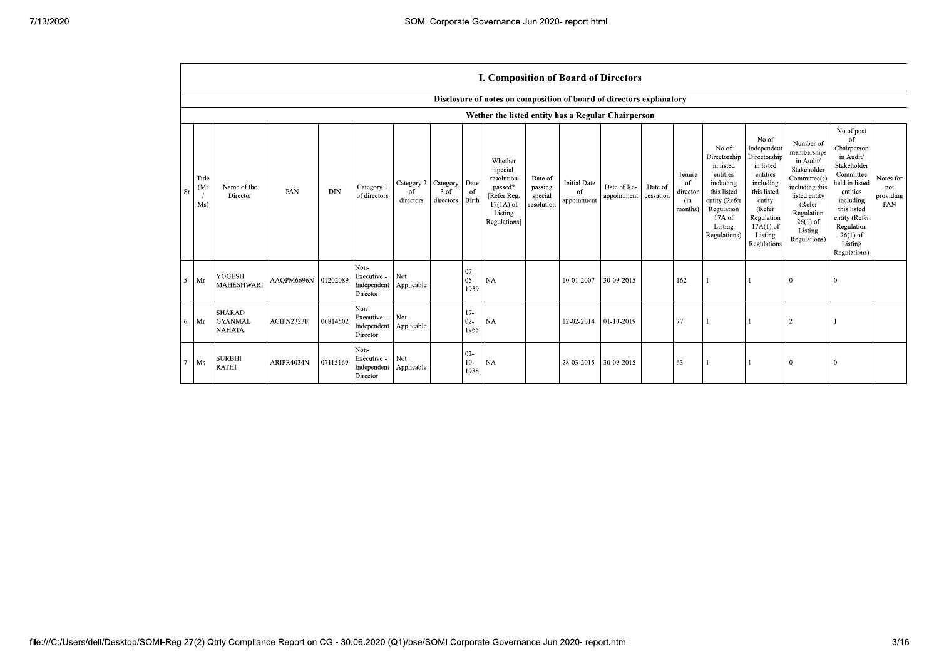|           |                                   |                                                  |                     |            |                                                             |                                          |                   |                          | I. Composition of Board of Directors                                                                 |                                             |                                          |                            |                      |                                                       |                                                                                                                                                  |                                                                                                                                                                      |                                                                                                                                                                          |                                                                                                                                                                                                                       |                                      |
|-----------|-----------------------------------|--------------------------------------------------|---------------------|------------|-------------------------------------------------------------|------------------------------------------|-------------------|--------------------------|------------------------------------------------------------------------------------------------------|---------------------------------------------|------------------------------------------|----------------------------|----------------------|-------------------------------------------------------|--------------------------------------------------------------------------------------------------------------------------------------------------|----------------------------------------------------------------------------------------------------------------------------------------------------------------------|--------------------------------------------------------------------------------------------------------------------------------------------------------------------------|-----------------------------------------------------------------------------------------------------------------------------------------------------------------------------------------------------------------------|--------------------------------------|
|           |                                   |                                                  |                     |            |                                                             |                                          |                   |                          | Disclosure of notes on composition of board of directors explanatory                                 |                                             |                                          |                            |                      |                                                       |                                                                                                                                                  |                                                                                                                                                                      |                                                                                                                                                                          |                                                                                                                                                                                                                       |                                      |
|           |                                   |                                                  |                     |            |                                                             |                                          |                   |                          | Wether the listed entity has a Regular Chairperson                                                   |                                             |                                          |                            |                      |                                                       |                                                                                                                                                  |                                                                                                                                                                      |                                                                                                                                                                          |                                                                                                                                                                                                                       |                                      |
| <b>Sr</b> | Title<br>(M <sub>I</sub> )<br>Ms) | Name of the<br>Director                          | PAN                 | <b>DIN</b> | Category 1<br>of directors                                  | Category 2   Category<br>0f<br>directors | 3 of<br>directors | Date<br>of<br>Birth      | Whether<br>special<br>resolution<br>passed?<br>[Refer Reg.<br>$17(1A)$ of<br>Listing<br>Regulations] | Date of<br>passing<br>special<br>resolution | <b>Initial Date</b><br>of<br>appointment | Date of Re-<br>appointment | Date of<br>cessation | Tenure<br><sup>of</sup><br>director<br>(in<br>months) | No of<br>Directorship<br>in listed<br>entities<br>including<br>this listed<br>entity (Refer<br>Regulation<br>$17A$ of<br>Listing<br>Regulations) | No of<br>Independent<br>Directorship<br>in listed<br>entities<br>including<br>this listed<br>entity<br>(Refer<br>Regulation<br>$17A(1)$ of<br>Listing<br>Regulations | Number of<br>memberships<br>in Audit/<br>Stakeholder<br>Committee(s)<br>including this<br>listed entity<br>(Refer<br>Regulation<br>$26(1)$ of<br>Listing<br>Regulations) | No of post<br><sup>of</sup><br>Chairperson<br>in Audit/<br>Stakeholder<br>Committee<br>held in listed<br>entities<br>including<br>this listed<br>entity (Refer<br>Regulation<br>$26(1)$ of<br>Listing<br>Regulations) | Notes for<br>not<br>providing<br>PAN |
| -5        | Mr                                | <b>YOGESH</b><br><b>MAHESHWARI</b>               | AAQPM6696N 01202089 |            | Non-<br>Executive -<br>Independent Applicable<br>Director   | Not                                      |                   | $07 -$<br>$05 -$<br>1959 | NA                                                                                                   |                                             | 10-01-2007                               | 30-09-2015                 |                      | 162                                                   |                                                                                                                                                  |                                                                                                                                                                      | $\theta$                                                                                                                                                                 |                                                                                                                                                                                                                       |                                      |
| 6         | Mr                                | <b>SHARAD</b><br><b>GYANMAL</b><br><b>NAHATA</b> | ACIPN2323F          | 06814502   | Non-<br>Executive -<br>Independent   Applicable<br>Director | Not                                      |                   | $17-$<br>$02 -$<br>1965  | <b>NA</b>                                                                                            |                                             | 12-02-2014                               | $01-10-2019$               |                      | 77                                                    |                                                                                                                                                  |                                                                                                                                                                      |                                                                                                                                                                          |                                                                                                                                                                                                                       |                                      |
| 7         | Ms                                | <b>SURBHI</b><br><b>RATHI</b>                    | ARIPR4034N          | 07115169   | Non-<br>Executive -<br>Independent Applicable<br>Director   | Not                                      |                   | $02 -$<br>$10-$<br>1988  | <b>NA</b>                                                                                            |                                             | 28-03-2015                               | 30-09-2015                 |                      | 63                                                    |                                                                                                                                                  |                                                                                                                                                                      | $\theta$                                                                                                                                                                 |                                                                                                                                                                                                                       |                                      |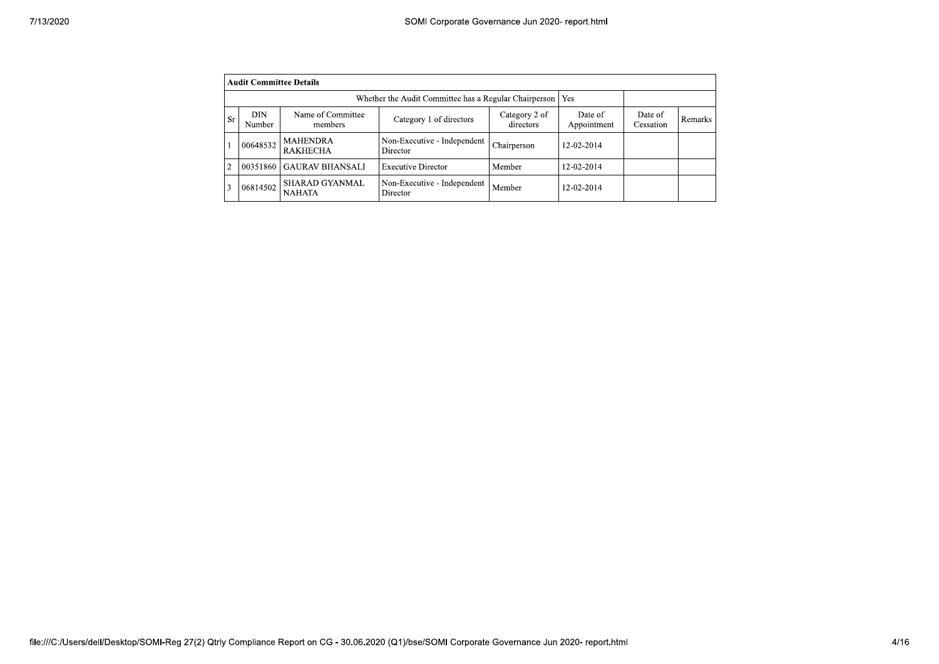| 7/13/2020      | SOMI Corporate Governance Jun 2020- report.html |                                                                                                     |                                         |                            |                        |                      |         |
|----------------|-------------------------------------------------|-----------------------------------------------------------------------------------------------------|-----------------------------------------|----------------------------|------------------------|----------------------|---------|
|                |                                                 |                                                                                                     |                                         |                            |                        |                      |         |
|                | <b>Audit Committee Details</b>                  |                                                                                                     |                                         |                            |                        |                      |         |
|                |                                                 | Whether the Audit Committee has a Regular Chairperson   Yes                                         |                                         |                            |                        |                      |         |
| <b>Sr</b>      | DIN<br>Number                                   | Name of Committee<br>members                                                                        | Category 1 of directors                 | Category 2 of<br>directors | Date of<br>Appointment | Date of<br>Cessation | Remarks |
|                | 00648532                                        | <b>MAHENDRA</b><br><b>RAKHECHA</b>                                                                  | Non-Executive - Independent<br>Director | Chairperson                | 12-02-2014             |                      |         |
| $\mathfrak{D}$ |                                                 | 00351860 GAURAV BHANSALI                                                                            | <b>Executive Director</b>               | Member                     | 12-02-2014             |                      |         |
| 3              |                                                 | $\begin{array}{ c c c c }\n\hline\n & \text{SHARAD GYANMAL} \\ \hline\n\end{array}$<br>$\it NAHATA$ | Non-Executive - Independent<br>Director | Member                     | 12-02-2014             |                      |         |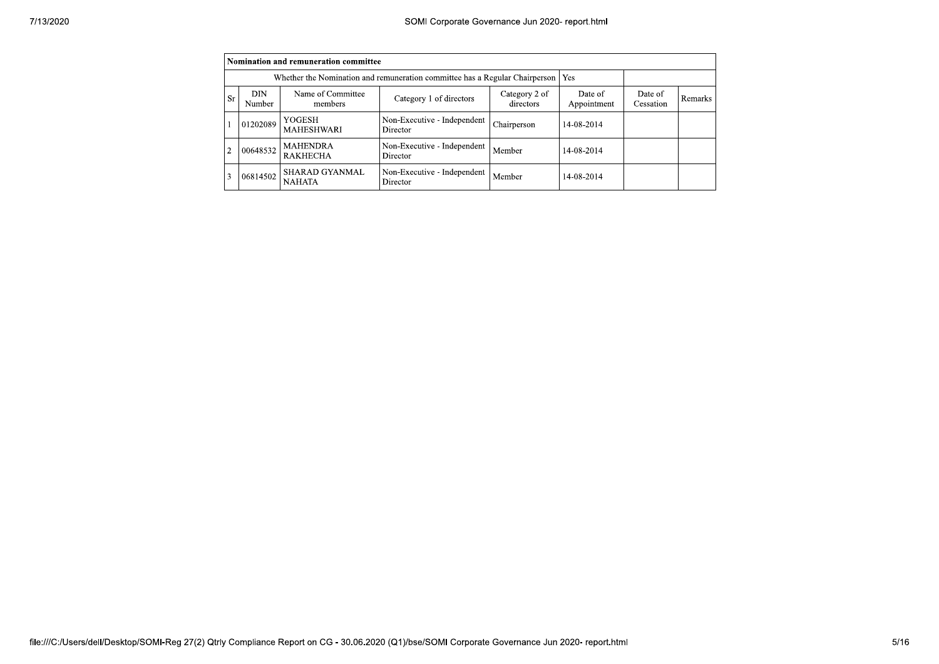|                |                      | Nomination and remuneration committee  |                                                                             |                            |                        |                      |                |
|----------------|----------------------|----------------------------------------|-----------------------------------------------------------------------------|----------------------------|------------------------|----------------------|----------------|
|                |                      |                                        | Whether the Nomination and remuneration committee has a Regular Chairperson |                            | Yes                    |                      |                |
| <b>Sr</b>      | <b>DIN</b><br>Number | Name of Committee<br>members           | Category 1 of directors                                                     | Category 2 of<br>directors | Date of<br>Appointment | Date of<br>Cessation | <b>Remarks</b> |
|                | 01202089             | YOGESH<br><b>MAHESHWARI</b>            | Non-Executive - Independent<br>Director                                     | Chairperson                | 14-08-2014             |                      |                |
| $\overline{2}$ | 00648532             | <b>MAHENDRA</b><br><b>RAKHECHA</b>     | Non-Executive - Independent<br>Director                                     | Member                     | 14-08-2014             |                      |                |
| 3              | 06814502             | <b>SHARAD GYANMAL</b><br><b>NAHATA</b> | Non-Executive - Independent<br>Director                                     | Member                     | 14-08-2014             |                      |                |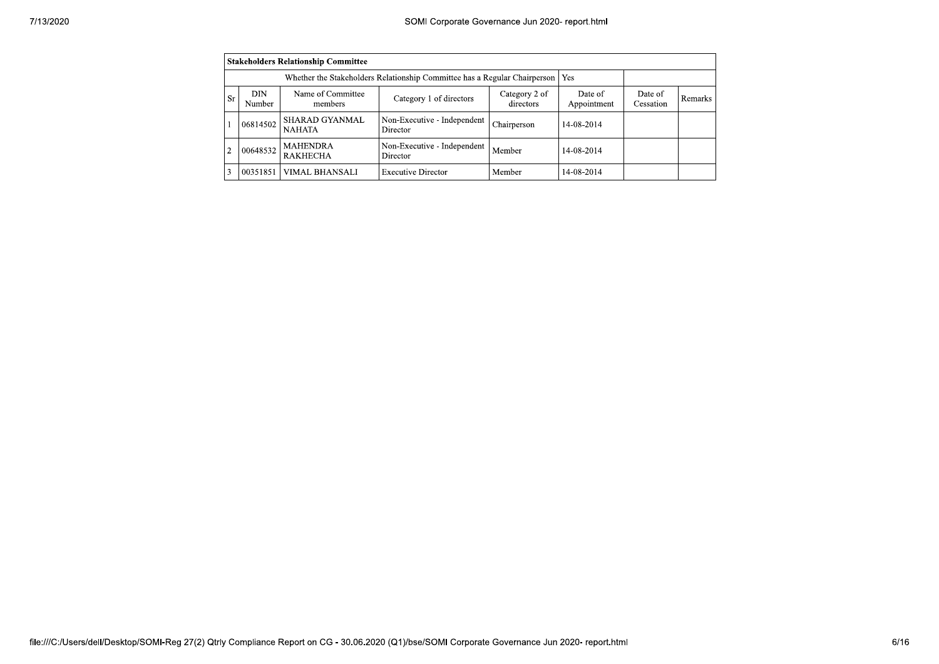|                | <b>Stakeholders Relationship Committee</b> |                                                                                 |                                         |                            |                        |                      |         |  |  |  |
|----------------|--------------------------------------------|---------------------------------------------------------------------------------|-----------------------------------------|----------------------------|------------------------|----------------------|---------|--|--|--|
|                |                                            | Whether the Stakeholders Relationship Committee has a Regular Chairperson   Yes |                                         |                            |                        |                      |         |  |  |  |
| <b>Sr</b>      | DIN.<br>Number                             | Name of Committee<br>members                                                    | Category 1 of directors                 | Category 2 of<br>directors | Date of<br>Appointment | Date of<br>Cessation | Remarks |  |  |  |
|                | 06814502                                   | <b>SHARAD GYANMAL</b><br><b>NAHATA</b>                                          | Non-Executive - Independent<br>Director | Chairperson                | 14-08-2014             |                      |         |  |  |  |
| $\overline{2}$ | 00648532                                   | <b>MAHENDRA</b><br><b>RAKHECHA</b>                                              | Non-Executive - Independent<br>Director | Member                     | 14-08-2014             |                      |         |  |  |  |
| 3              | 00351851                                   | VIMAL BHANSALI                                                                  | <b>Executive Director</b>               | Member                     | 14-08-2014             |                      |         |  |  |  |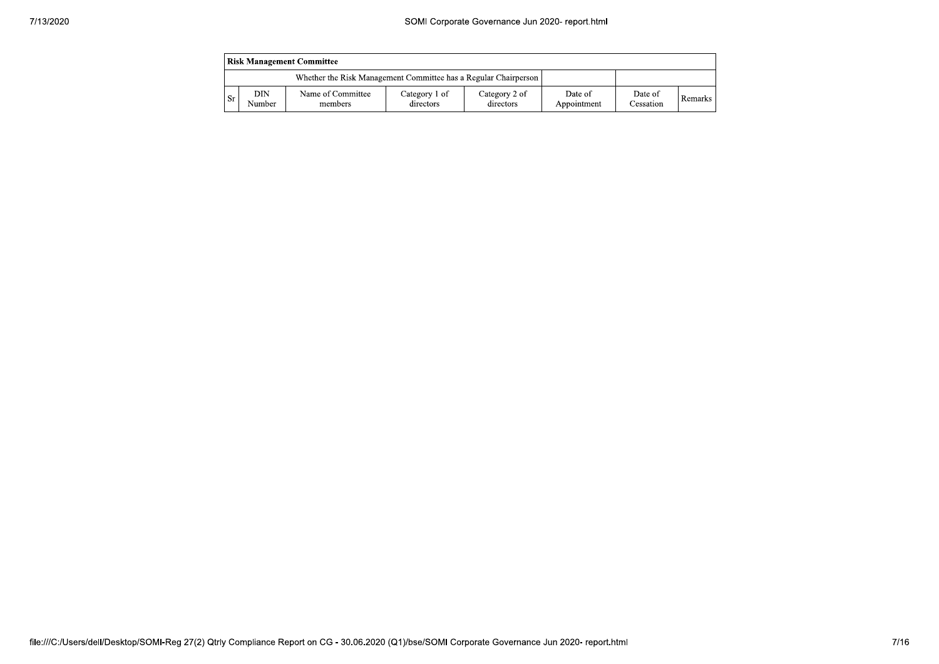|           | <b>Risk Management Committee</b> |                                                                 |                            |                            |                        |                      |         |  |  |
|-----------|----------------------------------|-----------------------------------------------------------------|----------------------------|----------------------------|------------------------|----------------------|---------|--|--|
|           |                                  | Whether the Risk Management Committee has a Regular Chairperson |                            |                            |                        |                      |         |  |  |
| <b>Sr</b> | DIN<br>Number                    | Name of Committee<br>members                                    | Category 1 of<br>directors | Category 2 of<br>directors | Date of<br>Appointment | Date of<br>Cessation | Remarks |  |  |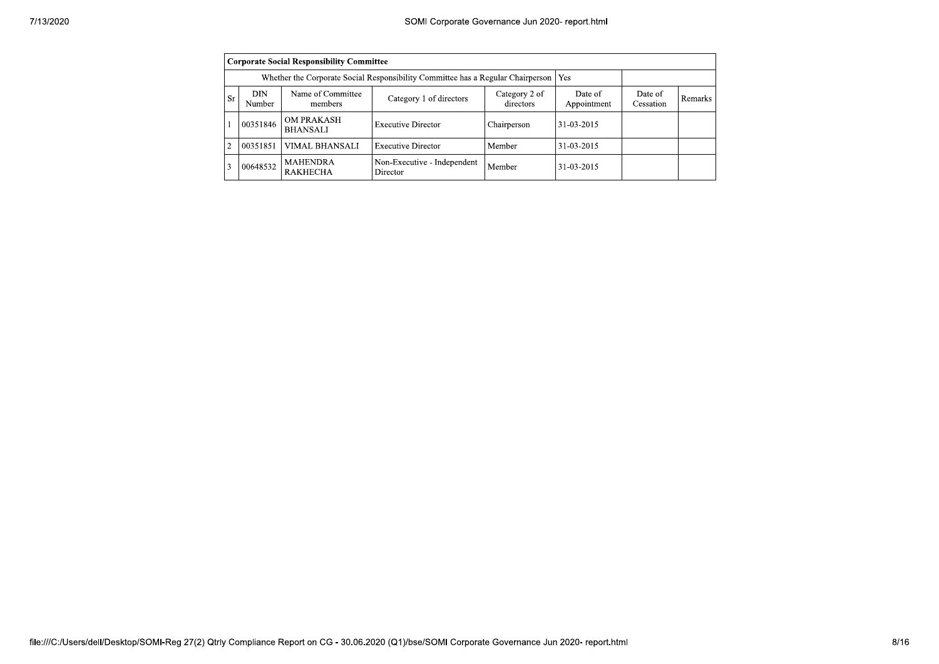|                | <b>Corporate Social Responsibility Committee</b> |                                                                                       |                                         |                            |                        |                      |         |  |  |  |
|----------------|--------------------------------------------------|---------------------------------------------------------------------------------------|-----------------------------------------|----------------------------|------------------------|----------------------|---------|--|--|--|
|                |                                                  | Whether the Corporate Social Responsibility Committee has a Regular Chairperson   Yes |                                         |                            |                        |                      |         |  |  |  |
| Sr             | DIN<br>Number                                    | Name of Committee<br>members                                                          | Category 1 of directors                 | Category 2 of<br>directors | Date of<br>Appointment | Date of<br>Cessation | Remarks |  |  |  |
|                | 00351846                                         | <b>OM PRAKASH</b><br><b>BHANSALI</b>                                                  | <b>Executive Director</b>               | Chairperson                | 31-03-2015             |                      |         |  |  |  |
| $\overline{c}$ | 00351851                                         | VIMAL BHANSALI                                                                        | <b>Executive Director</b>               | Member                     | 31-03-2015             |                      |         |  |  |  |
| 3              | 00648532                                         | <b>MAHENDRA</b><br><b>RAKHECHA</b>                                                    | Non-Executive - Independent<br>Director | Member                     | 31-03-2015             |                      |         |  |  |  |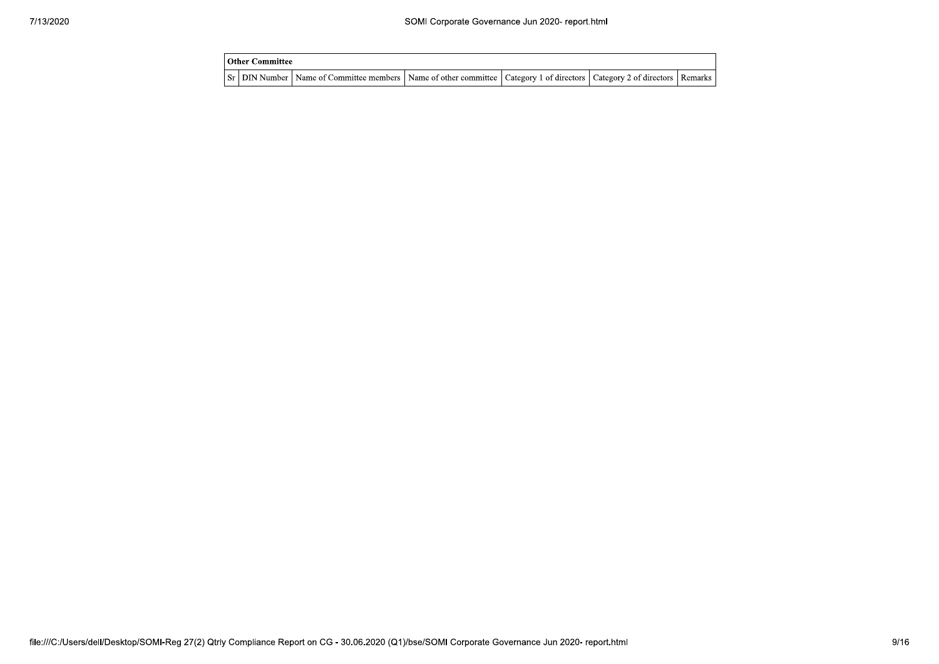| Other Committee |                                                                                                                                     |  |  |
|-----------------|-------------------------------------------------------------------------------------------------------------------------------------|--|--|
|                 | Sr   DIN Number   Name of Committee members   Name of other committee   Category 1 of directors   Category 2 of directors   Remarks |  |  |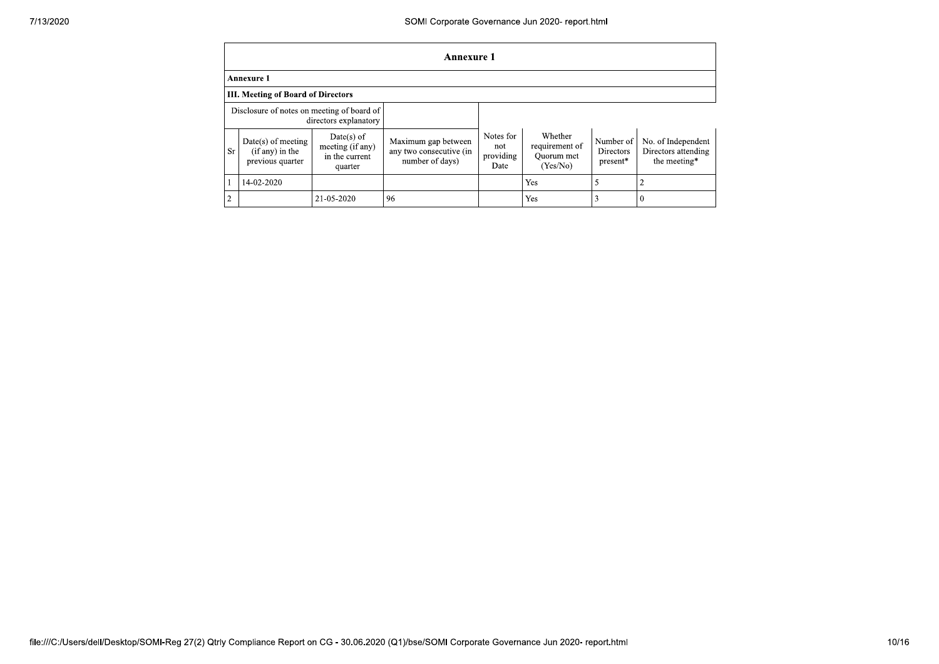|                | <b>Annexure 1</b>                                             |                                                               |                                                                   |                                       |                                                     |                                    |                                                           |  |  |
|----------------|---------------------------------------------------------------|---------------------------------------------------------------|-------------------------------------------------------------------|---------------------------------------|-----------------------------------------------------|------------------------------------|-----------------------------------------------------------|--|--|
|                | <b>Annexure 1</b>                                             |                                                               |                                                                   |                                       |                                                     |                                    |                                                           |  |  |
|                | <b>III. Meeting of Board of Directors</b>                     |                                                               |                                                                   |                                       |                                                     |                                    |                                                           |  |  |
|                | Disclosure of notes on meeting of board of                    | directors explanatory                                         |                                                                   |                                       |                                                     |                                    |                                                           |  |  |
| Sr             | $Date(s)$ of meeting<br>$(if any)$ in the<br>previous quarter | $Date(s)$ of<br>meeting (if any)<br>in the current<br>quarter | Maximum gap between<br>any two consecutive (in<br>number of days) | Notes for<br>not<br>providing<br>Date | Whether<br>requirement of<br>Quorum met<br>(Yes/No) | Number of<br>Directors<br>present* | No. of Independent<br>Directors attending<br>the meeting* |  |  |
|                | 14-02-2020                                                    |                                                               |                                                                   |                                       | Yes                                                 | 5                                  |                                                           |  |  |
| $\overline{c}$ |                                                               | 21-05-2020                                                    | 96                                                                |                                       | Yes                                                 | 3                                  | $\theta$                                                  |  |  |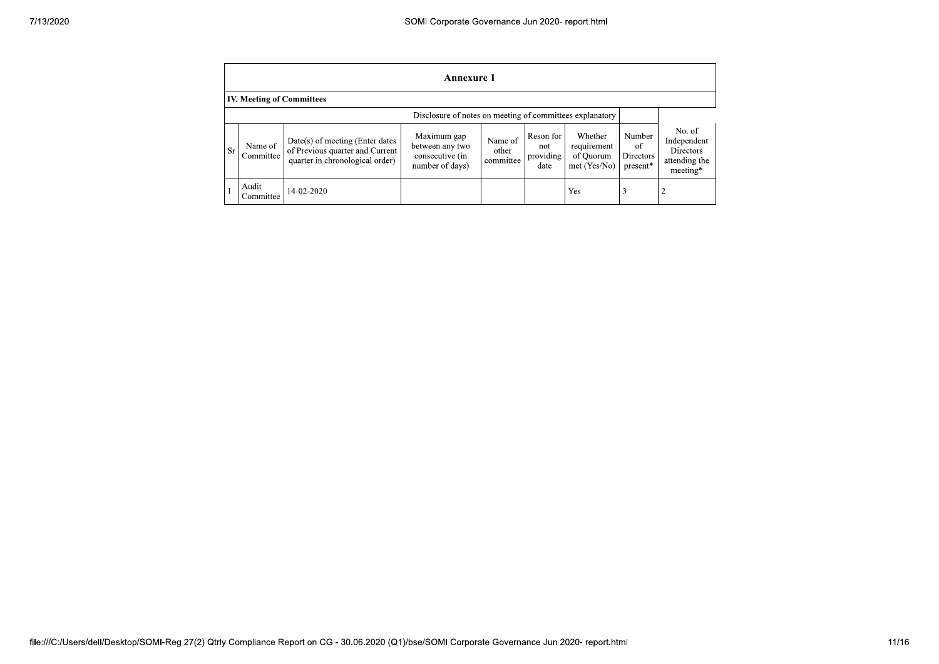|    | Annexure 1                       |                                                                                                         |                                                                      |                               |                                       |                                                     |                                       |                                                                 |  |
|----|----------------------------------|---------------------------------------------------------------------------------------------------------|----------------------------------------------------------------------|-------------------------------|---------------------------------------|-----------------------------------------------------|---------------------------------------|-----------------------------------------------------------------|--|
|    | <b>IV. Meeting of Committees</b> |                                                                                                         |                                                                      |                               |                                       |                                                     |                                       |                                                                 |  |
|    |                                  |                                                                                                         | Disclosure of notes on meeting of committees explanatory             |                               |                                       |                                                     |                                       |                                                                 |  |
| Sr | Name of<br>Committee             | $Date(s)$ of meeting (Enter dates<br>of Previous quarter and Current<br>quarter in chronological order) | Maximum gap<br>between any two<br>consecutive (in<br>number of days) | Name of<br>other<br>committee | Reson for<br>not<br>providing<br>date | Whether<br>requirement<br>of Ouorum<br>met (Yes/No) | Number<br>of<br>Directors<br>present* | No. of<br>Independent<br>Directors<br>attending the<br>meeting* |  |
|    | Audit<br>Committee               | 14-02-2020                                                                                              |                                                                      |                               |                                       | Yes                                                 | 3                                     |                                                                 |  |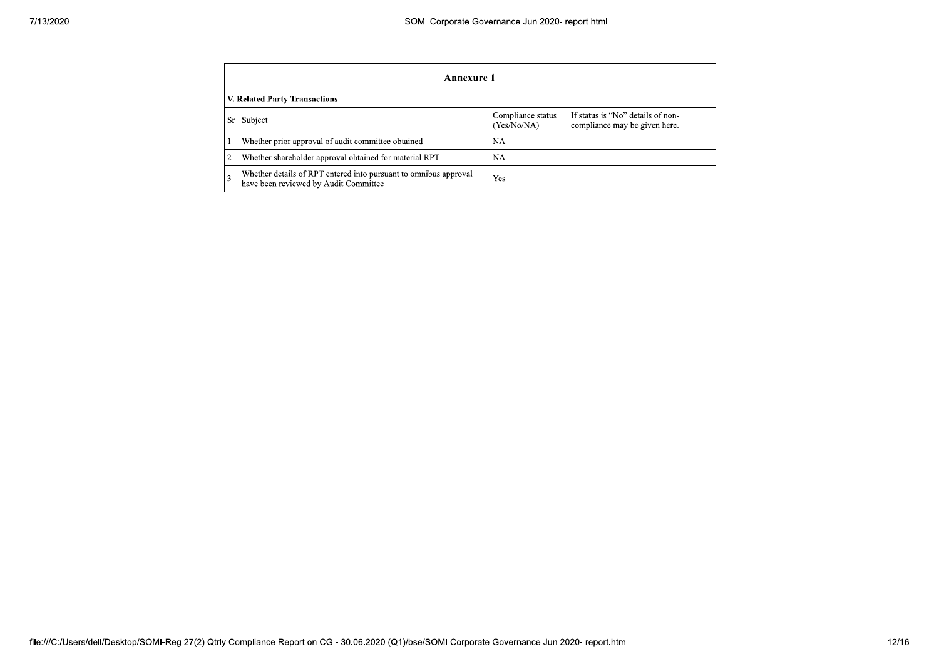|                | <b>Annexure 1</b>                                                                                         |                                  |                                                                    |  |  |  |  |  |  |
|----------------|-----------------------------------------------------------------------------------------------------------|----------------------------------|--------------------------------------------------------------------|--|--|--|--|--|--|
|                | V. Related Party Transactions                                                                             |                                  |                                                                    |  |  |  |  |  |  |
| Sr.            | Subject                                                                                                   | Compliance status<br>(Yes/No/NA) | If status is "No" details of non-<br>compliance may be given here. |  |  |  |  |  |  |
|                | Whether prior approval of audit committee obtained                                                        | <b>NA</b>                        |                                                                    |  |  |  |  |  |  |
| $\overline{2}$ | Whether shareholder approval obtained for material RPT                                                    | NA                               |                                                                    |  |  |  |  |  |  |
| 3              | Whether details of RPT entered into pursuant to omnibus approval<br>have been reviewed by Audit Committee | Yes                              |                                                                    |  |  |  |  |  |  |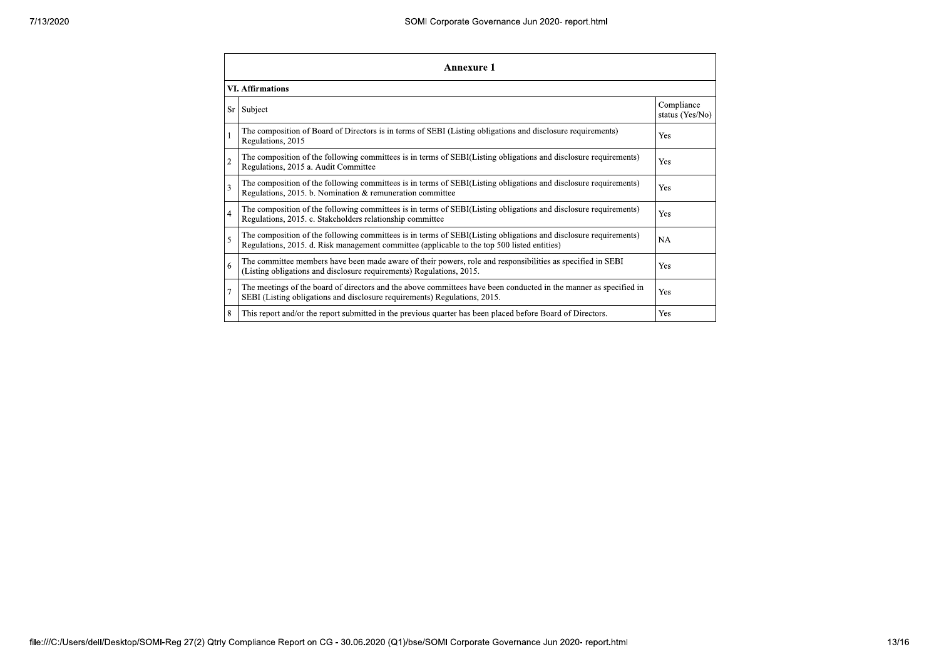| 7/13/2020 |   | SOMI Corporate Governance Jun 2020- report.html                                                                                                                                                                 |                               |  |  |
|-----------|---|-----------------------------------------------------------------------------------------------------------------------------------------------------------------------------------------------------------------|-------------------------------|--|--|
|           |   | <b>Annexure 1</b>                                                                                                                                                                                               |                               |  |  |
|           |   | <b>VI. Affirmations</b>                                                                                                                                                                                         |                               |  |  |
|           |   | Sr Subject                                                                                                                                                                                                      | Compliance<br>status (Yes/No) |  |  |
|           |   | The composition of Board of Directors is in terms of SEBI (Listing obligations and disclosure requirements)<br>Regulations, 2015                                                                                | Yes                           |  |  |
|           |   | The composition of the following committees is in terms of SEBI(Listing obligations and disclosure requirements)<br>Regulations, 2015 a. Audit Committee                                                        | $\operatorname{Yes}$          |  |  |
|           |   | The composition of the following committees is in terms of SEBI(Listing obligations and disclosure requirements)<br>Regulations, 2015. b. Nomination & remuneration committee                                   | Yes                           |  |  |
|           |   | The composition of the following committees is in terms of SEBI(Listing obligations and disclosure requirements)<br>Regulations, 2015. c. Stakeholders relationship committee                                   | Yes                           |  |  |
|           |   | The composition of the following committees is in terms of SEBI(Listing obligations and disclosure requirements)<br>Regulations, 2015. d. Risk management committee (applicable to the top 500 listed entities) | NA                            |  |  |
|           | 6 | The committee members have been made aware of their powers, role and responsibilities as specified in SEBI<br>(Listing obligations and disclosure requirements) Regulations, 2015.                              | Yes                           |  |  |
|           |   | The meetings of the board of directors and the above committees have been conducted in the manner as specified in<br>SEBI (Listing obligations and disclosure requirements) Regulations, 2015.                  | Yes                           |  |  |
|           |   | This report and/or the report submitted in the previous quarter has been placed before Board of Directors.                                                                                                      | $\operatorname{Yes}$          |  |  |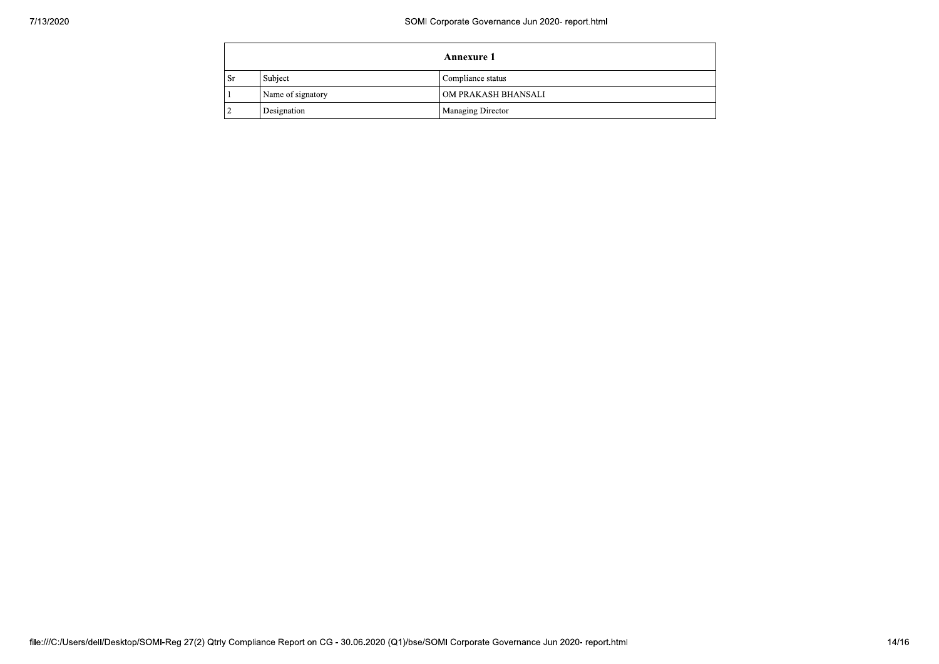| Annexure 1 |                   |                     |  |  |
|------------|-------------------|---------------------|--|--|
| <b>Sr</b>  | Subject           | Compliance status   |  |  |
|            | Name of signatory | OM PRAKASH BHANSALI |  |  |
|            | Designation       | Managing Director   |  |  |